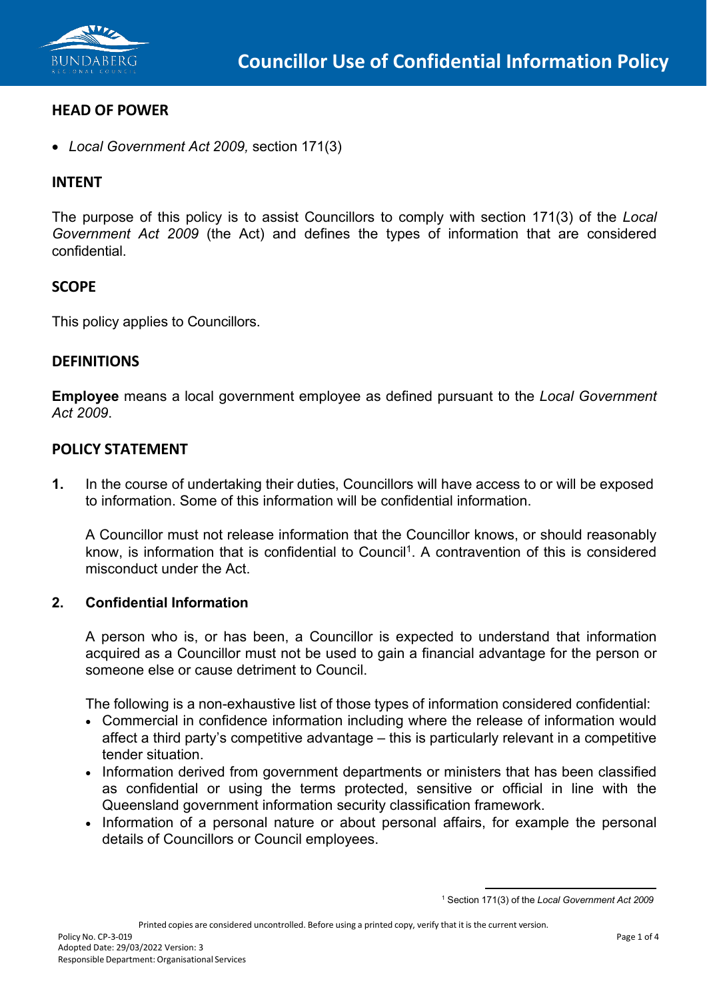

## **HEAD OF POWER**

• *Local Government Act 2009,* section 171(3)

## **INTENT**

The purpose of this policy is to assist Councillors to comply with section 171(3) of the *Local Government Act 2009* (the Act) and defines the types of information that are considered confidential.

## **SCOPE**

This policy applies to Councillors.

#### **DEFINITIONS**

**Employee** means a local government employee as defined pursuant to the *Local Government Act 2009*.

#### **POLICY STATEMENT**

**1.** In the course of undertaking their duties, Councillors will have access to or will be exposed to information. Some of this information will be confidential information.

A Councillor must not release information that the Councillor knows, or should reasonably know, is information that is confidential to Council<sup>1</sup>. A contravention of this is considered misconduct under the Act.

#### **2. Confidential Information**

A person who is, or has been, a Councillor is expected to understand that information acquired as a Councillor must not be used to gain a financial advantage for the person or someone else or cause detriment to Council.

The following is a non-exhaustive list of those types of information considered confidential:

- Commercial in confidence information including where the release of information would affect a third party's competitive advantage – this is particularly relevant in a competitive tender situation.
- Information derived from government departments or ministers that has been classified as confidential or using the terms protected, sensitive or official in line with the Queensland government information security classification framework.
- <span id="page-0-0"></span>• Information of a personal nature or about personal affairs, for example the personal details of Councillors or Council employees.

<sup>1</sup> Section 171(3) of the *Local Government Act 2009*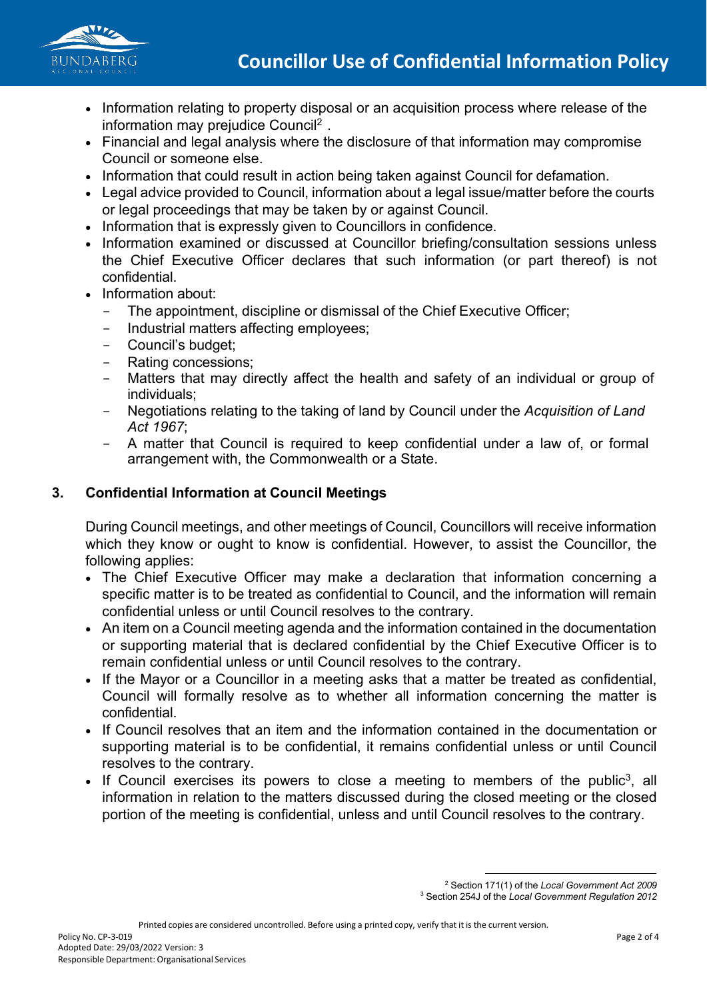

- Information relating to property disposal or an acquisition process where release of the information may prejudice Counci[l2](#page-1-0) .
- Financial and legal analysis where the disclosure of that information may compromise Council or someone else.
- Information that could result in action being taken against Council for defamation.
- Legal advice provided to Council, information about a legal issue/matter before the courts or legal proceedings that may be taken by or against Council.
- Information that is expressly given to Councillors in confidence.
- Information examined or discussed at Councillor briefing/consultation sessions unless the Chief Executive Officer declares that such information (or part thereof) is not confidential.
- Information about:
	- The appointment, discipline or dismissal of the Chief Executive Officer;
	- Industrial matters affecting employees;
	- Council's budget;
	- Rating concessions;
	- Matters that may directly affect the health and safety of an individual or group of individuals;
	- Negotiations relating to the taking of land by Council under the *Acquisition of Land Act 1967*;
	- A matter that Council is required to keep confidential under a law of, or formal arrangement with, the Commonwealth or a State.

# **3. Confidential Information at Council Meetings**

During Council meetings, and other meetings of Council, Councillors will receive information which they know or ought to know is confidential. However, to assist the Councillor, the following applies:

- The Chief Executive Officer may make a declaration that information concerning a specific matter is to be treated as confidential to Council, and the information will remain confidential unless or until Council resolves to the contrary.
- An item on a Council meeting agenda and the information contained in the documentation or supporting material that is declared confidential by the Chief Executive Officer is to remain confidential unless or until Council resolves to the contrary.
- If the Mayor or a Councillor in a meeting asks that a matter be treated as confidential, Council will formally resolve as to whether all information concerning the matter is confidential.
- If Council resolves that an item and the information contained in the documentation or supporting material is to be confidential, it remains confidential unless or until Council resolves to the contrary.
- <span id="page-1-1"></span><span id="page-1-0"></span>• If Council exercises its powers to close a meeting to members of the public<sup>3</sup>, all information in relation to the matters discussed during the closed meeting or the closed portion of the meeting is confidential, unless and until Council resolves to the contrary.

<sup>3</sup> Section 254J of the *Local Government Regulation 2012*

<sup>2</sup> Section 171(1) of the *Local Government Act 2009*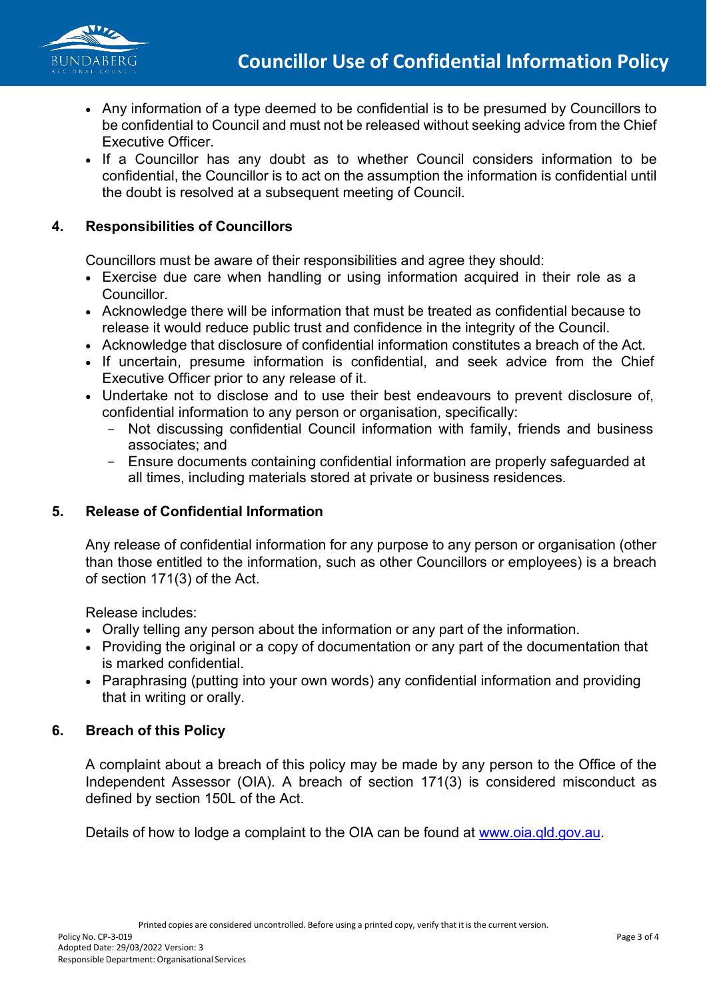

- Any information of a type deemed to be confidential is to be presumed by Councillors to be confidential to Council and must not be released without seeking advice from the Chief Executive Officer.
- If a Councillor has any doubt as to whether Council considers information to be confidential, the Councillor is to act on the assumption the information is confidential until the doubt is resolved at a subsequent meeting of Council.

# **4. Responsibilities of Councillors**

Councillors must be aware of their responsibilities and agree they should:

- Exercise due care when handling or using information acquired in their role as a Councillor.
- Acknowledge there will be information that must be treated as confidential because to release it would reduce public trust and confidence in the integrity of the Council.
- Acknowledge that disclosure of confidential information constitutes a breach of the Act.
- If uncertain, presume information is confidential, and seek advice from the Chief Executive Officer prior to any release of it.
- Undertake not to disclose and to use their best endeavours to prevent disclosure of, confidential information to any person or organisation, specifically:
	- Not discussing confidential Council information with family, friends and business associates; and
	- Ensure documents containing confidential information are properly safeguarded at all times, including materials stored at private or business residences.

# **5. Release of Confidential Information**

Any release of confidential information for any purpose to any person or organisation (other than those entitled to the information, such as other Councillors or employees) is a breach of section 171(3) of the Act.

Release includes:

- Orally telling any person about the information or any part of the information.
- Providing the original or a copy of documentation or any part of the documentation that is marked confidential.
- Paraphrasing (putting into your own words) any confidential information and providing that in writing or orally.

## **6. Breach of this Policy**

A complaint about a breach of this policy may be made by any person to the Office of the Independent Assessor (OIA). A breach of section 171(3) is considered misconduct as defined by section 150L of the Act.

Details of how to lodge a complaint to the OIA can be found at [www.oia.qld.gov.au.](http://www.oia.qld.gov.au/)